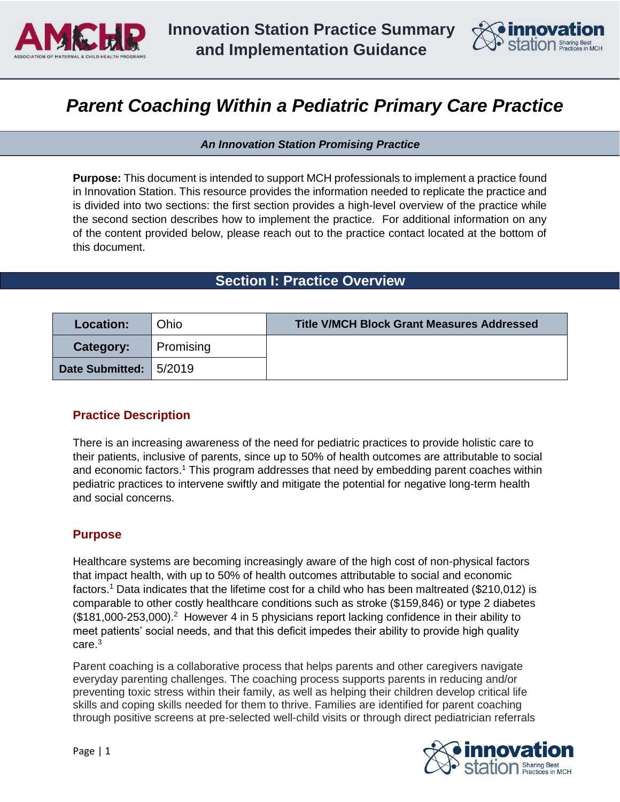



# *Parent Coaching Within a Pediatric Primary Care Practice*

*An Innovation Station Promising Practice* 

**Purpose:** This document is intended to support MCH professionals to implement a practice found in Innovation Station. This resource provides the information needed to replicate the practice and is divided into two sections: the first section provides a high-level overview of the practice while the second section describes how to implement the practice. For additional information on any of the content provided below, please reach out to the practice contact located at the bottom of this document.

# **Section I: Practice Overview**

| <b>Location:</b>         | Ohio      | <b>Title V/MCH Block Grant Measures Addressed</b> |
|--------------------------|-----------|---------------------------------------------------|
| Category:                | Promising |                                                   |
| Date Submitted:   5/2019 |           |                                                   |

# **Practice Description**

There is an increasing awareness of the need for pediatric practices to provide holistic care to their patients, inclusive of parents, since up to 50% of health outcomes are attributable to social and economic factors.<sup>1</sup> This program addresses that need by embedding parent coaches within pediatric practices to intervene swiftly and mitigate the potential for negative long-term health and social concerns.

# **Purpose**

Healthcare systems are becoming increasingly aware of the high cost of non-physical factors that impact health, with up to 50% of health outcomes attributable to social and economic factors.<sup>1</sup> Data indicates that the lifetime cost for a child who has been maltreated (\$210,012) is comparable to other costly healthcare conditions such as stroke (\$159,846) or type 2 diabetes  $($181,000-253,000).$ <sup>2</sup> However 4 in 5 physicians report lacking confidence in their ability to meet patients' social needs, and that this deficit impedes their ability to provide high quality care. $3$ 

Parent coaching is a collaborative process that helps parents and other caregivers navigate everyday parenting challenges. The coaching process supports parents in reducing and/or preventing toxic stress within their family, as well as helping their children develop critical life skills and coping skills needed for them to thrive. Families are identified for parent coaching through positive screens at pre-selected well-child visits or through direct pediatrician referrals

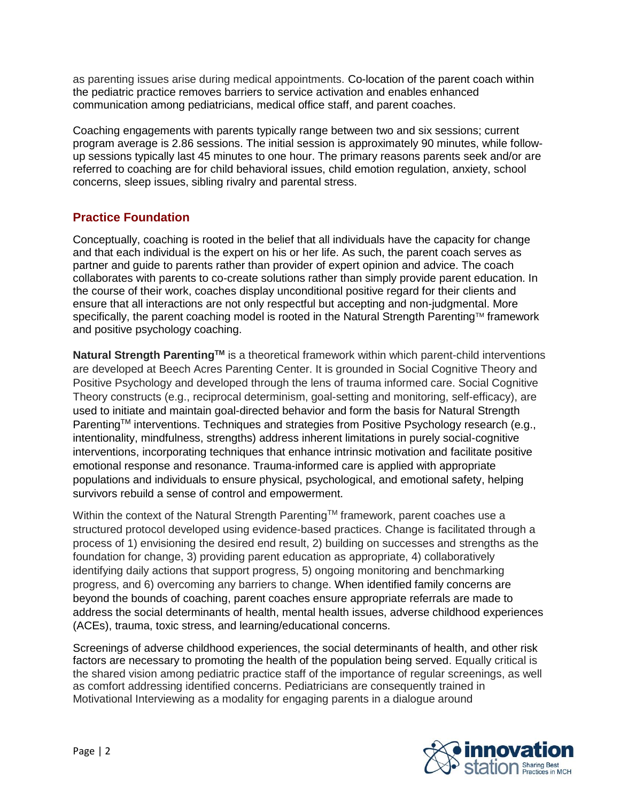as parenting issues arise during medical appointments. Co-location of the parent coach within the pediatric practice removes barriers to service activation and enables enhanced communication among pediatricians, medical office staff, and parent coaches.

Coaching engagements with parents typically range between two and six sessions; current program average is 2.86 sessions. The initial session is approximately 90 minutes, while followup sessions typically last 45 minutes to one hour. The primary reasons parents seek and/or are referred to coaching are for child behavioral issues, child emotion regulation, anxiety, school concerns, sleep issues, sibling rivalry and parental stress.

# **Practice Foundation**

Conceptually, coaching is rooted in the belief that all individuals have the capacity for change and that each individual is the expert on his or her life. As such, the parent coach serves as partner and guide to parents rather than provider of expert opinion and advice. The coach collaborates with parents to co-create solutions rather than simply provide parent education. In the course of their work, coaches display unconditional positive regard for their clients and ensure that all interactions are not only respectful but accepting and non-judgmental. More specifically, the parent coaching model is rooted in the Natural Strength Parenting™ framework and positive psychology coaching.

**Natural Strength ParentingTM** is a theoretical framework within which parent-child interventions are developed at Beech Acres Parenting Center. It is grounded in Social Cognitive Theory and Positive Psychology and developed through the lens of trauma informed care. Social Cognitive Theory constructs (e.g., reciprocal determinism, goal-setting and monitoring, self-efficacy), are used to initiate and maintain goal-directed behavior and form the basis for Natural Strength Parenting™ interventions. Techniques and strategies from Positive Psychology research (e.g., intentionality, mindfulness, strengths) address inherent limitations in purely social-cognitive interventions, incorporating techniques that enhance intrinsic motivation and facilitate positive emotional response and resonance. Trauma-informed care is applied with appropriate populations and individuals to ensure physical, psychological, and emotional safety, helping survivors rebuild a sense of control and empowerment.

Within the context of the Natural Strength Parenting™ framework, parent coaches use a structured protocol developed using evidence-based practices. Change is facilitated through a process of 1) envisioning the desired end result, 2) building on successes and strengths as the foundation for change, 3) providing parent education as appropriate, 4) collaboratively identifying daily actions that support progress, 5) ongoing monitoring and benchmarking progress, and 6) overcoming any barriers to change. When identified family concerns are beyond the bounds of coaching, parent coaches ensure appropriate referrals are made to address the social determinants of health, mental health issues, adverse childhood experiences (ACEs), trauma, toxic stress, and learning/educational concerns.

Screenings of adverse childhood experiences, the social determinants of health, and other risk factors are necessary to promoting the health of the population being served. Equally critical is the shared vision among pediatric practice staff of the importance of regular screenings, as well as comfort addressing identified concerns. Pediatricians are consequently trained in Motivational Interviewing as a modality for engaging parents in a dialogue around

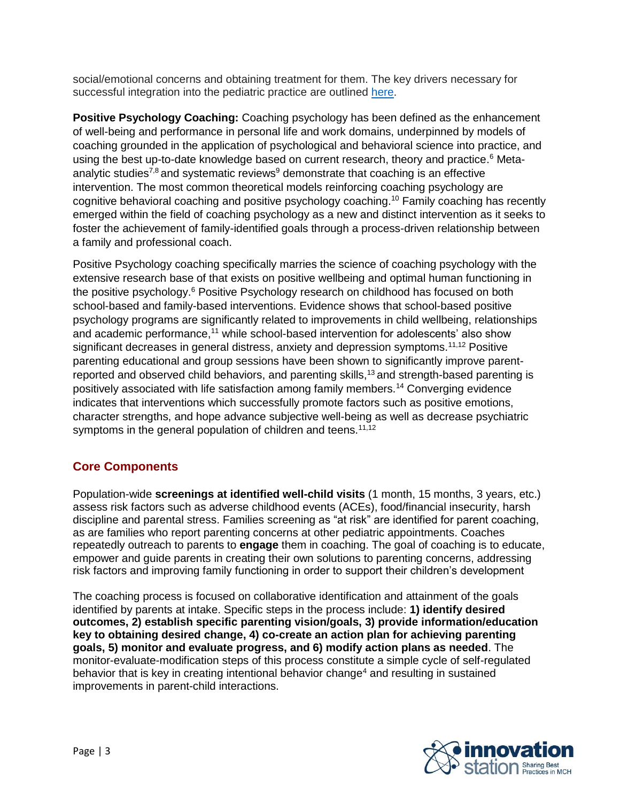social/emotional concerns and obtaining treatment for them. The key drivers necessary for successful integration into the pediatric practice are outlined [here.](http://www.amchp.org/programsandtopics/BestPractices/InnovationStation/Documents/Parent.Coaching.Pediatric.Practice.Drivers%20FINAL.pdf)

**Positive Psychology Coaching:** Coaching psychology has been defined as the enhancement of well-being and performance in personal life and work domains, underpinned by models of coaching grounded in the application of psychological and behavioral science into practice, and using the best up-to-date knowledge based on current research, theory and practice.<sup>6</sup> Metaanalytic studies<sup>7,8</sup> and systematic reviews<sup>9</sup> demonstrate that coaching is an effective intervention. The most common theoretical models reinforcing coaching psychology are cognitive behavioral coaching and positive psychology coaching.<sup>10</sup> Family coaching has recently emerged within the field of coaching psychology as a new and distinct intervention as it seeks to foster the achievement of family-identified goals through a process-driven relationship between a family and professional coach.

Positive Psychology coaching specifically marries the science of coaching psychology with the extensive research base of that exists on positive wellbeing and optimal human functioning in the positive psychology.<sup>6</sup> Positive Psychology research on childhood has focused on both school-based and family-based interventions. Evidence shows that school-based positive psychology programs are significantly related to improvements in child wellbeing, relationships and academic performance,<sup>11</sup> while school-based intervention for adolescents' also show significant decreases in general distress, anxiety and depression symptoms.<sup>11,12</sup> Positive parenting educational and group sessions have been shown to significantly improve parentreported and observed child behaviors, and parenting skills,<sup>13</sup> and strength-based parenting is positively associated with life satisfaction among family members.<sup>14</sup> Converging evidence indicates that interventions which successfully promote factors such as positive emotions, character strengths, and hope advance subjective well-being as well as decrease psychiatric symptoms in the general population of children and teens.<sup>11,12</sup>

# **Core Components**

Population-wide **screenings at identified well-child visits** (1 month, 15 months, 3 years, etc.) assess risk factors such as adverse childhood events (ACEs), food/financial insecurity, harsh discipline and parental stress. Families screening as "at risk" are identified for parent coaching, as are families who report parenting concerns at other pediatric appointments. Coaches repeatedly outreach to parents to **engage** them in coaching. The goal of coaching is to educate, empower and guide parents in creating their own solutions to parenting concerns, addressing risk factors and improving family functioning in order to support their children's development

The coaching process is focused on collaborative identification and attainment of the goals identified by parents at intake. Specific steps in the process include: **1) identify desired outcomes, 2) establish specific parenting vision/goals, 3) provide information/education key to obtaining desired change, 4) co-create an action plan for achieving parenting goals, 5) monitor and evaluate progress, and 6) modify action plans as needed**. The monitor-evaluate-modification steps of this process constitute a simple cycle of self-regulated behavior that is key in creating intentional behavior change<sup>4</sup> and resulting in sustained improvements in parent-child interactions.

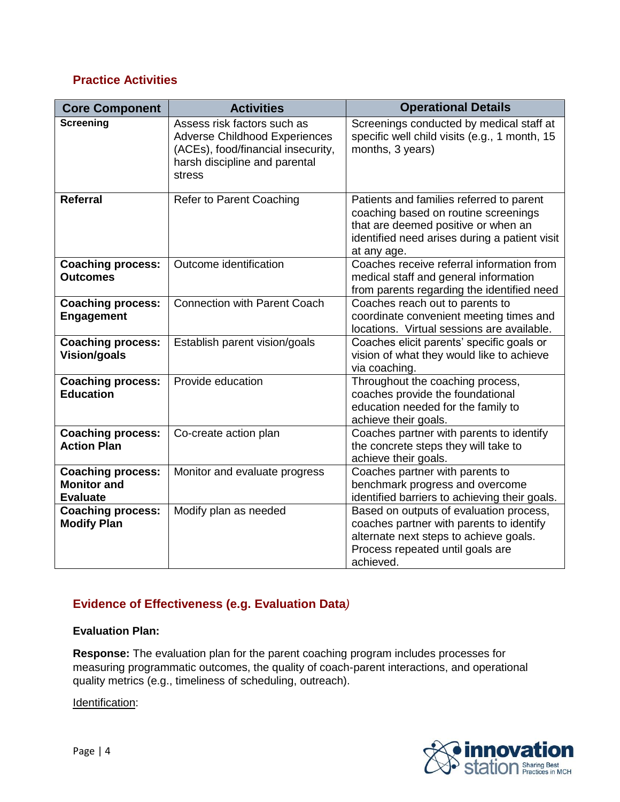# **Practice Activities**

| <b>Core Component</b>                                             | <b>Activities</b>                                                                                                                                    | <b>Operational Details</b>                                                                                                                                                              |  |  |
|-------------------------------------------------------------------|------------------------------------------------------------------------------------------------------------------------------------------------------|-----------------------------------------------------------------------------------------------------------------------------------------------------------------------------------------|--|--|
| <b>Screening</b>                                                  | Assess risk factors such as<br><b>Adverse Childhood Experiences</b><br>(ACEs), food/financial insecurity,<br>harsh discipline and parental<br>stress | Screenings conducted by medical staff at<br>specific well child visits (e.g., 1 month, 15<br>months, 3 years)                                                                           |  |  |
| <b>Referral</b>                                                   | <b>Refer to Parent Coaching</b>                                                                                                                      | Patients and families referred to parent<br>coaching based on routine screenings<br>that are deemed positive or when an<br>identified need arises during a patient visit<br>at any age. |  |  |
| <b>Coaching process:</b><br><b>Outcomes</b>                       | Outcome identification                                                                                                                               | Coaches receive referral information from<br>medical staff and general information<br>from parents regarding the identified need                                                        |  |  |
| <b>Coaching process:</b><br><b>Engagement</b>                     | <b>Connection with Parent Coach</b>                                                                                                                  | Coaches reach out to parents to<br>coordinate convenient meeting times and<br>locations. Virtual sessions are available.                                                                |  |  |
| Coaching process:<br><b>Vision/goals</b>                          | Establish parent vision/goals                                                                                                                        | Coaches elicit parents' specific goals or<br>vision of what they would like to achieve<br>via coaching.                                                                                 |  |  |
| <b>Coaching process:</b><br><b>Education</b>                      | Provide education                                                                                                                                    | Throughout the coaching process,<br>coaches provide the foundational<br>education needed for the family to<br>achieve their goals.                                                      |  |  |
| <b>Coaching process:</b><br><b>Action Plan</b>                    | Co-create action plan                                                                                                                                | Coaches partner with parents to identify<br>the concrete steps they will take to<br>achieve their goals.                                                                                |  |  |
| <b>Coaching process:</b><br><b>Monitor and</b><br><b>Evaluate</b> | Monitor and evaluate progress                                                                                                                        | Coaches partner with parents to<br>benchmark progress and overcome<br>identified barriers to achieving their goals.                                                                     |  |  |
| <b>Coaching process:</b><br><b>Modify Plan</b>                    | Modify plan as needed                                                                                                                                | Based on outputs of evaluation process,<br>coaches partner with parents to identify<br>alternate next steps to achieve goals.<br>Process repeated until goals are<br>achieved.          |  |  |

# **Evidence of Effectiveness (e.g. Evaluation Data***)*

#### **Evaluation Plan:**

**Response:** The evaluation plan for the parent coaching program includes processes for measuring programmatic outcomes, the quality of coach-parent interactions, and operational quality metrics (e.g., timeliness of scheduling, outreach).

Identification:

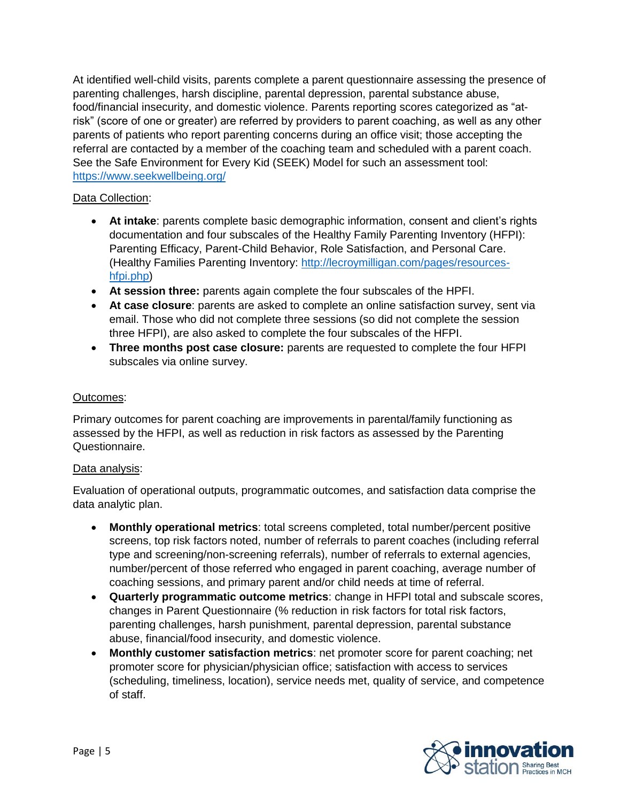At identified well-child visits, parents complete a parent questionnaire assessing the presence of parenting challenges, harsh discipline, parental depression, parental substance abuse, food/financial insecurity, and domestic violence. Parents reporting scores categorized as "atrisk" (score of one or greater) are referred by providers to parent coaching, as well as any other parents of patients who report parenting concerns during an office visit; those accepting the referral are contacted by a member of the coaching team and scheduled with a parent coach. See the Safe Environment for Every Kid (SEEK) Model for such an assessment tool: <https://www.seekwellbeing.org/>

#### Data Collection:

- **At intake**: parents complete basic demographic information, consent and client's rights documentation and four subscales of the Healthy Family Parenting Inventory (HFPI): Parenting Efficacy, Parent-Child Behavior, Role Satisfaction, and Personal Care. (Healthy Families Parenting Inventory: [http://lecroymilligan.com/pages/resources](http://lecroymilligan.com/pages/resources-hfpi.php)[hfpi.php\)](http://lecroymilligan.com/pages/resources-hfpi.php)
- **At session three:** parents again complete the four subscales of the HPFI.
- **At case closure**: parents are asked to complete an online satisfaction survey, sent via email. Those who did not complete three sessions (so did not complete the session three HFPI), are also asked to complete the four subscales of the HFPI.
- **Three months post case closure:** parents are requested to complete the four HFPI subscales via online survey.

#### Outcomes:

Primary outcomes for parent coaching are improvements in parental/family functioning as assessed by the HFPI, as well as reduction in risk factors as assessed by the Parenting Questionnaire.

#### Data analysis:

Evaluation of operational outputs, programmatic outcomes, and satisfaction data comprise the data analytic plan.

- **Monthly operational metrics**: total screens completed, total number/percent positive screens, top risk factors noted, number of referrals to parent coaches (including referral type and screening/non-screening referrals), number of referrals to external agencies, number/percent of those referred who engaged in parent coaching, average number of coaching sessions, and primary parent and/or child needs at time of referral.
- **Quarterly programmatic outcome metrics**: change in HFPI total and subscale scores, changes in Parent Questionnaire (% reduction in risk factors for total risk factors, parenting challenges, harsh punishment, parental depression, parental substance abuse, financial/food insecurity, and domestic violence.
- **Monthly customer satisfaction metrics**: net promoter score for parent coaching; net promoter score for physician/physician office; satisfaction with access to services (scheduling, timeliness, location), service needs met, quality of service, and competence of staff.

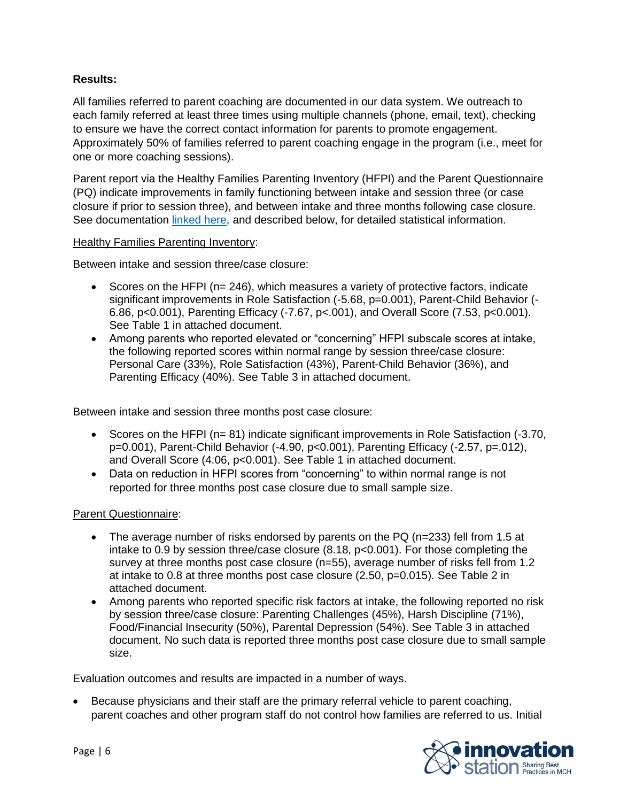#### **Results:**

All families referred to parent coaching are documented in our data system. We outreach to each family referred at least three times using multiple channels (phone, email, text), checking to ensure we have the correct contact information for parents to promote engagement. Approximately 50% of families referred to parent coaching engage in the program (i.e., meet for one or more coaching sessions).

Parent report via the Healthy Families Parenting Inventory (HFPI) and the Parent Questionnaire (PQ) indicate improvements in family functioning between intake and session three (or case closure if prior to session three), and between intake and three months following case closure. See documentation [linked here,](http://www.amchp.org/programsandtopics/BestPractices/InnovationStation/Documents/Parent.Coach.Pediatric.Practice.Outcomes.Summary.pdf) and described below, for detailed statistical information.

#### Healthy Families Parenting Inventory:

Between intake and session three/case closure:

- Scores on the HFPI ( $n= 246$ ), which measures a variety of protective factors, indicate significant improvements in Role Satisfaction (-5.68, p=0.001), Parent-Child Behavior (- 6.86, p<0.001), Parenting Efficacy (-7.67, p<.001), and Overall Score (7.53, p<0.001). See Table 1 in attached document.
- Among parents who reported elevated or "concerning" HFPI subscale scores at intake, the following reported scores within normal range by session three/case closure: Personal Care (33%), Role Satisfaction (43%), Parent-Child Behavior (36%), and Parenting Efficacy (40%). See Table 3 in attached document.

Between intake and session three months post case closure:

- Scores on the HFPI (n= 81) indicate significant improvements in Role Satisfaction (-3.70, p=0.001), Parent-Child Behavior (-4.90, p<0.001), Parenting Efficacy (-2.57, p=.012), and Overall Score (4.06, p<0.001). See Table 1 in attached document.
- Data on reduction in HFPI scores from "concerning" to within normal range is not reported for three months post case closure due to small sample size.

#### Parent Questionnaire:

- The average number of risks endorsed by parents on the PQ (n=233) fell from 1.5 at intake to 0.9 by session three/case closure (8.18, p<0.001). For those completing the survey at three months post case closure (n=55), average number of risks fell from 1.2 at intake to 0.8 at three months post case closure (2.50, p=0.015). See Table 2 in attached document.
- Among parents who reported specific risk factors at intake, the following reported no risk by session three/case closure: Parenting Challenges (45%), Harsh Discipline (71%), Food/Financial Insecurity (50%), Parental Depression (54%). See Table 3 in attached document. No such data is reported three months post case closure due to small sample size.

Evaluation outcomes and results are impacted in a number of ways.

• Because physicians and their staff are the primary referral vehicle to parent coaching, parent coaches and other program staff do not control how families are referred to us. Initial

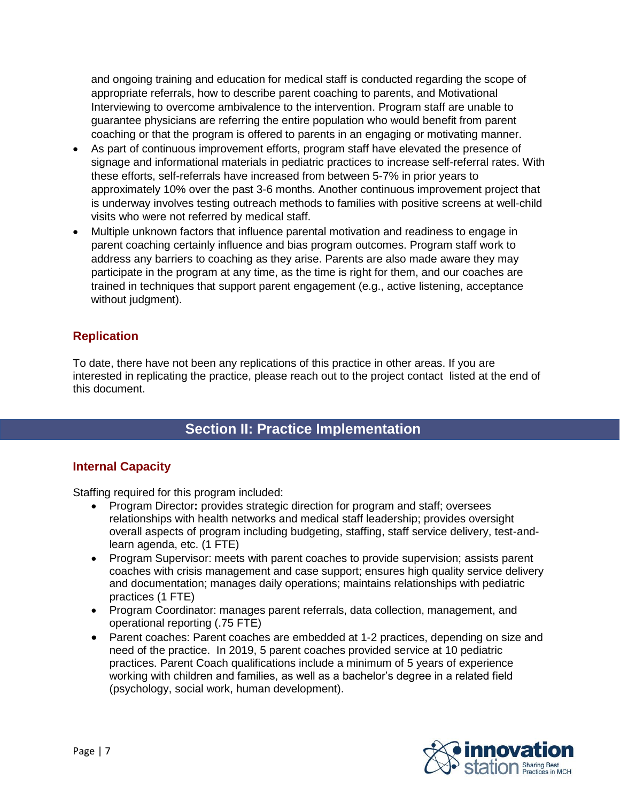and ongoing training and education for medical staff is conducted regarding the scope of appropriate referrals, how to describe parent coaching to parents, and Motivational Interviewing to overcome ambivalence to the intervention. Program staff are unable to guarantee physicians are referring the entire population who would benefit from parent coaching or that the program is offered to parents in an engaging or motivating manner.

- As part of continuous improvement efforts, program staff have elevated the presence of signage and informational materials in pediatric practices to increase self-referral rates. With these efforts, self-referrals have increased from between 5-7% in prior years to approximately 10% over the past 3-6 months. Another continuous improvement project that is underway involves testing outreach methods to families with positive screens at well-child visits who were not referred by medical staff.
- Multiple unknown factors that influence parental motivation and readiness to engage in parent coaching certainly influence and bias program outcomes. Program staff work to address any barriers to coaching as they arise. Parents are also made aware they may participate in the program at any time, as the time is right for them, and our coaches are trained in techniques that support parent engagement (e.g., active listening, acceptance without judgment).

### **Replication**

To date, there have not been any replications of this practice in other areas. If you are interested in replicating the practice, please reach out to the project contact listed at the end of this document.

# **Section II: Practice Implementation**

#### **Internal Capacity**

Staffing required for this program included:

- Program Director**:** provides strategic direction for program and staff; oversees relationships with health networks and medical staff leadership; provides oversight overall aspects of program including budgeting, staffing, staff service delivery, test-andlearn agenda, etc. (1 FTE)
- Program Supervisor: meets with parent coaches to provide supervision; assists parent coaches with crisis management and case support; ensures high quality service delivery and documentation; manages daily operations; maintains relationships with pediatric practices (1 FTE)
- Program Coordinator: manages parent referrals, data collection, management, and operational reporting (.75 FTE)
- Parent coaches: Parent coaches are embedded at 1-2 practices, depending on size and need of the practice. In 2019, 5 parent coaches provided service at 10 pediatric practices. Parent Coach qualifications include a minimum of 5 years of experience working with children and families, as well as a bachelor's degree in a related field (psychology, social work, human development).

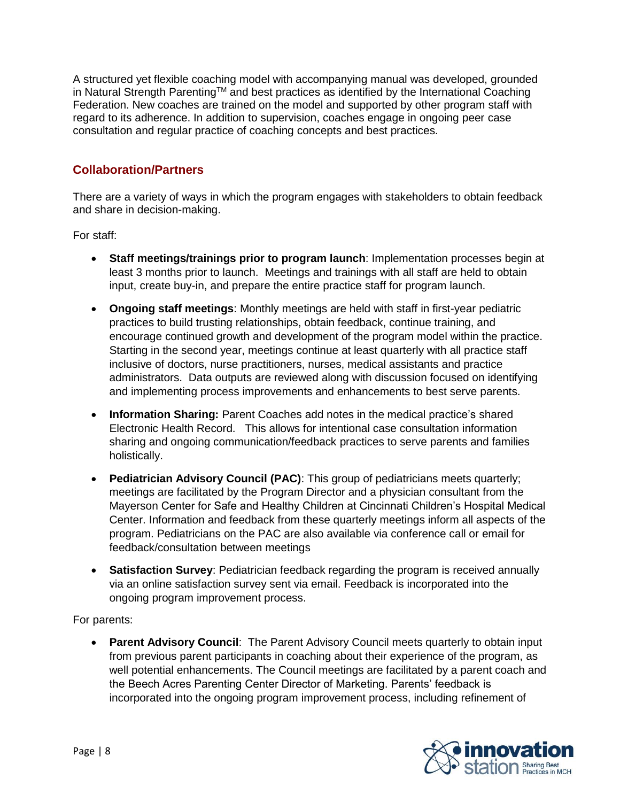A structured yet flexible coaching model with accompanying manual was developed, grounded in Natural Strength Parenting™ and best practices as identified by the International Coaching Federation. New coaches are trained on the model and supported by other program staff with regard to its adherence. In addition to supervision, coaches engage in ongoing peer case consultation and regular practice of coaching concepts and best practices.

### **Collaboration/Partners**

There are a variety of ways in which the program engages with stakeholders to obtain feedback and share in decision-making.

For staff:

- **Staff meetings/trainings prior to program launch**: Implementation processes begin at least 3 months prior to launch. Meetings and trainings with all staff are held to obtain input, create buy-in, and prepare the entire practice staff for program launch.
- **Ongoing staff meetings**: Monthly meetings are held with staff in first-year pediatric practices to build trusting relationships, obtain feedback, continue training, and encourage continued growth and development of the program model within the practice. Starting in the second year, meetings continue at least quarterly with all practice staff inclusive of doctors, nurse practitioners, nurses, medical assistants and practice administrators. Data outputs are reviewed along with discussion focused on identifying and implementing process improvements and enhancements to best serve parents.
- **Information Sharing:** Parent Coaches add notes in the medical practice's shared Electronic Health Record. This allows for intentional case consultation information sharing and ongoing communication/feedback practices to serve parents and families holistically.
- **Pediatrician Advisory Council (PAC)**: This group of pediatricians meets quarterly; meetings are facilitated by the Program Director and a physician consultant from the Mayerson Center for Safe and Healthy Children at Cincinnati Children's Hospital Medical Center. Information and feedback from these quarterly meetings inform all aspects of the program. Pediatricians on the PAC are also available via conference call or email for feedback/consultation between meetings
- **Satisfaction Survey**: Pediatrician feedback regarding the program is received annually via an online satisfaction survey sent via email. Feedback is incorporated into the ongoing program improvement process.

For parents:

• **Parent Advisory Council**: The Parent Advisory Council meets quarterly to obtain input from previous parent participants in coaching about their experience of the program, as well potential enhancements. The Council meetings are facilitated by a parent coach and the Beech Acres Parenting Center Director of Marketing. Parents' feedback is incorporated into the ongoing program improvement process, including refinement of

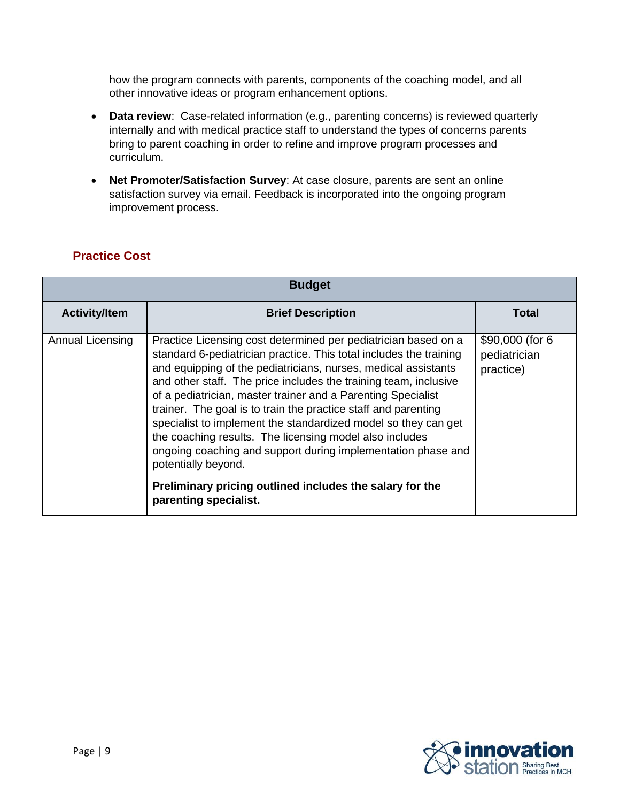how the program connects with parents, components of the coaching model, and all other innovative ideas or program enhancement options.

- **Data review**: Case-related information (e.g., parenting concerns) is reviewed quarterly internally and with medical practice staff to understand the types of concerns parents bring to parent coaching in order to refine and improve program processes and curriculum.
- **Net Promoter/Satisfaction Survey**: At case closure, parents are sent an online satisfaction survey via email. Feedback is incorporated into the ongoing program improvement process.

# **Practice Cost**

| <b>Budget</b>        |                                                                                                                                                                                                                                                                                                                                                                                                                                                                                                                                                                                                                                                                                                                       |                                               |  |  |  |
|----------------------|-----------------------------------------------------------------------------------------------------------------------------------------------------------------------------------------------------------------------------------------------------------------------------------------------------------------------------------------------------------------------------------------------------------------------------------------------------------------------------------------------------------------------------------------------------------------------------------------------------------------------------------------------------------------------------------------------------------------------|-----------------------------------------------|--|--|--|
| <b>Activity/Item</b> | <b>Brief Description</b>                                                                                                                                                                                                                                                                                                                                                                                                                                                                                                                                                                                                                                                                                              | Total                                         |  |  |  |
| Annual Licensing     | Practice Licensing cost determined per pediatrician based on a<br>standard 6-pediatrician practice. This total includes the training<br>and equipping of the pediatricians, nurses, medical assistants<br>and other staff. The price includes the training team, inclusive<br>of a pediatrician, master trainer and a Parenting Specialist<br>trainer. The goal is to train the practice staff and parenting<br>specialist to implement the standardized model so they can get<br>the coaching results. The licensing model also includes<br>ongoing coaching and support during implementation phase and<br>potentially beyond.<br>Preliminary pricing outlined includes the salary for the<br>parenting specialist. | \$90,000 (for 6)<br>pediatrician<br>practice) |  |  |  |

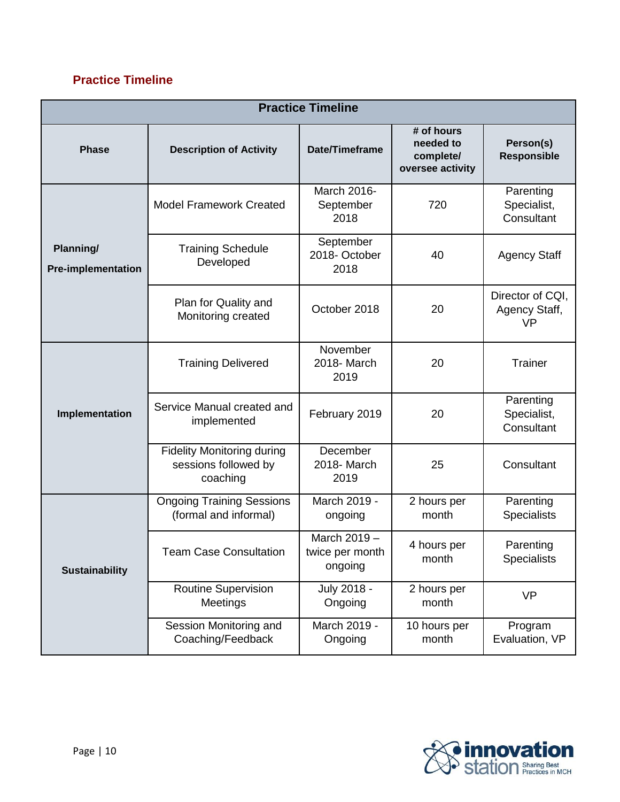# **Practice Timeline**

| <b>Practice Timeline</b>               |                                                                       |                                              |                                                          |                                                |  |  |  |  |
|----------------------------------------|-----------------------------------------------------------------------|----------------------------------------------|----------------------------------------------------------|------------------------------------------------|--|--|--|--|
| <b>Phase</b>                           | <b>Description of Activity</b>                                        | Date/Timeframe                               | # of hours<br>needed to<br>complete/<br>oversee activity | Person(s)<br><b>Responsible</b>                |  |  |  |  |
|                                        | <b>Model Framework Created</b>                                        | March 2016-<br>September<br>2018             | 720                                                      | Parenting<br>Specialist,<br>Consultant         |  |  |  |  |
| Planning/<br><b>Pre-implementation</b> | <b>Training Schedule</b><br>Developed                                 | September<br>2018-October<br>2018            | 40                                                       | <b>Agency Staff</b>                            |  |  |  |  |
|                                        | Plan for Quality and<br>Monitoring created                            | October 2018                                 | 20                                                       | Director of CQI,<br>Agency Staff,<br><b>VP</b> |  |  |  |  |
| Implementation                         | <b>Training Delivered</b>                                             | November<br>2018- March<br>2019              | 20                                                       | Trainer                                        |  |  |  |  |
|                                        | Service Manual created and<br>implemented                             | February 2019                                | 20                                                       | Parenting<br>Specialist,<br>Consultant         |  |  |  |  |
|                                        | <b>Fidelity Monitoring during</b><br>sessions followed by<br>coaching | December<br>2018- March<br>2019              | 25                                                       | Consultant                                     |  |  |  |  |
| <b>Sustainability</b>                  | <b>Ongoing Training Sessions</b><br>(formal and informal)             | March 2019 -<br>ongoing                      | 2 hours per<br>month                                     | Parenting<br><b>Specialists</b>                |  |  |  |  |
|                                        | <b>Team Case Consultation</b>                                         | March $2019 -$<br>twice per month<br>ongoing | 4 hours per<br>month                                     | Parenting<br><b>Specialists</b>                |  |  |  |  |
|                                        | <b>Routine Supervision</b><br>Meetings                                | July 2018 -<br>Ongoing                       | 2 hours per<br>month                                     | <b>VP</b>                                      |  |  |  |  |
|                                        | Session Monitoring and<br>Coaching/Feedback                           | March 2019 -<br>Ongoing                      | 10 hours per<br>month                                    | Program<br>Evaluation, VP                      |  |  |  |  |

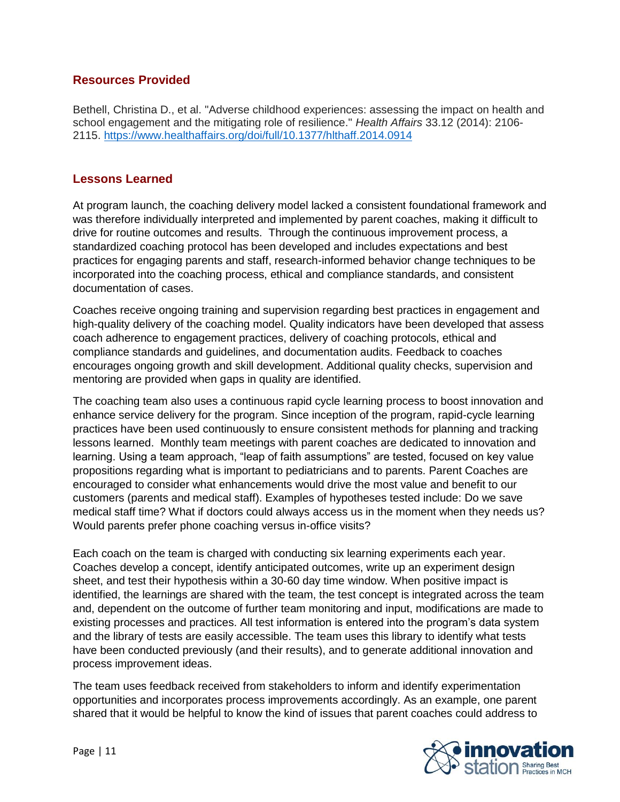#### **Resources Provided**

Bethell, Christina D., et al. "Adverse childhood experiences: assessing the impact on health and school engagement and the mitigating role of resilience." *Health Affairs* 33.12 (2014): 2106- 2115.<https://www.healthaffairs.org/doi/full/10.1377/hlthaff.2014.0914>

#### **Lessons Learned**

At program launch, the coaching delivery model lacked a consistent foundational framework and was therefore individually interpreted and implemented by parent coaches, making it difficult to drive for routine outcomes and results. Through the continuous improvement process, a standardized coaching protocol has been developed and includes expectations and best practices for engaging parents and staff, research-informed behavior change techniques to be incorporated into the coaching process, ethical and compliance standards, and consistent documentation of cases.

Coaches receive ongoing training and supervision regarding best practices in engagement and high-quality delivery of the coaching model. Quality indicators have been developed that assess coach adherence to engagement practices, delivery of coaching protocols, ethical and compliance standards and guidelines, and documentation audits. Feedback to coaches encourages ongoing growth and skill development. Additional quality checks, supervision and mentoring are provided when gaps in quality are identified.

The coaching team also uses a continuous rapid cycle learning process to boost innovation and enhance service delivery for the program. Since inception of the program, rapid-cycle learning practices have been used continuously to ensure consistent methods for planning and tracking lessons learned. Monthly team meetings with parent coaches are dedicated to innovation and learning. Using a team approach, "leap of faith assumptions" are tested, focused on key value propositions regarding what is important to pediatricians and to parents. Parent Coaches are encouraged to consider what enhancements would drive the most value and benefit to our customers (parents and medical staff). Examples of hypotheses tested include: Do we save medical staff time? What if doctors could always access us in the moment when they needs us? Would parents prefer phone coaching versus in-office visits?

Each coach on the team is charged with conducting six learning experiments each year. Coaches develop a concept, identify anticipated outcomes, write up an experiment design sheet, and test their hypothesis within a 30-60 day time window. When positive impact is identified, the learnings are shared with the team, the test concept is integrated across the team and, dependent on the outcome of further team monitoring and input, modifications are made to existing processes and practices. All test information is entered into the program's data system and the library of tests are easily accessible. The team uses this library to identify what tests have been conducted previously (and their results), and to generate additional innovation and process improvement ideas.

The team uses feedback received from stakeholders to inform and identify experimentation opportunities and incorporates process improvements accordingly. As an example, one parent shared that it would be helpful to know the kind of issues that parent coaches could address to

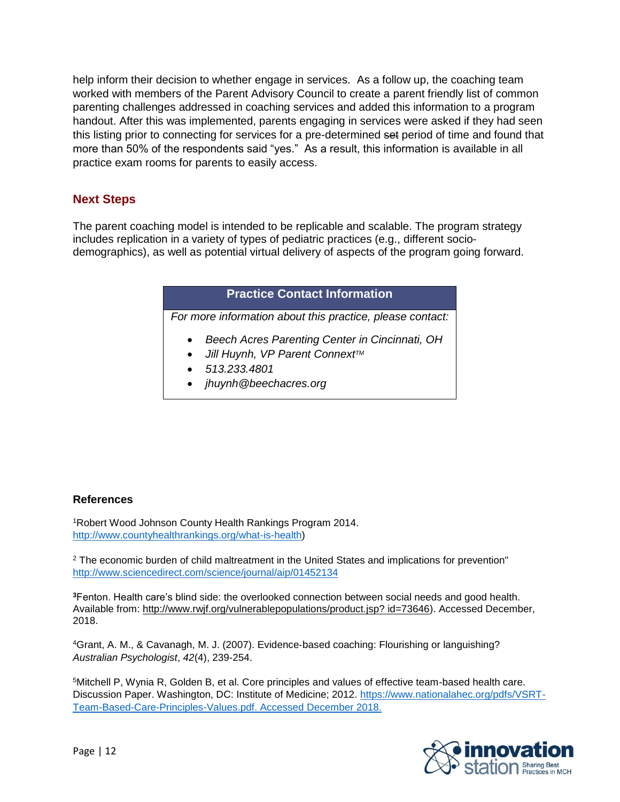help inform their decision to whether engage in services. As a follow up, the coaching team worked with members of the Parent Advisory Council to create a parent friendly list of common parenting challenges addressed in coaching services and added this information to a program handout. After this was implemented, parents engaging in services were asked if they had seen this listing prior to connecting for services for a pre-determined set period of time and found that more than 50% of the respondents said "yes." As a result, this information is available in all practice exam rooms for parents to easily access.

### **Next Steps**

The parent coaching model is intended to be replicable and scalable. The program strategy includes replication in a variety of types of pediatric practices (e.g., different sociodemographics), as well as potential virtual delivery of aspects of the program going forward.

### **Practice Contact Information**

*For more information about this practice, please contact:*

- *Beech Acres Parenting Center in Cincinnati, OH*
- *Jill Huynh, VP Parent ConnextTM*
- *513.233.4801*
- *jhuynh@beechacres.org*

#### **References**

<sup>1</sup>Robert Wood Johnson County Health Rankings Program 2014. [http://www.countyhealthrankings.org/what-is-health\)](http://www.countyhealthrankings.org/what-is-health)

<sup>2</sup> The economic burden of child maltreatment in the United States and implications for prevention" <http://www.sciencedirect.com/science/journal/aip/01452134>

**<sup>3</sup>**Fenton. Health care's blind side: the overlooked connection between social needs and good health. Available from: http://www.rwjf.org/vulnerablepopulations/product.jsp? id=73646). Accessed December, 2018.

<sup>4</sup>Grant, A. M., & Cavanagh, M. J. (2007). Evidence‐based coaching: Flourishing or languishing? *Australian Psychologist*, *42*(4), 239-254.

<sup>5</sup>Mitchell P, Wynia R, Golden B, et al. Core principles and values of effective team-based health care. Discussion Paper. Washington, DC: Institute of Medicine; 2012. [https://www.nationalahec.org/pdfs/VSRT-](https://www.nationalahec.org/pdfs/VSRT-Team-Based-Care-Principles-Values.pdf)[Team-Based-Care-Principles-Values.pdf.](https://www.nationalahec.org/pdfs/VSRT-Team-Based-Care-Principles-Values.pdf) Accessed December 2018.